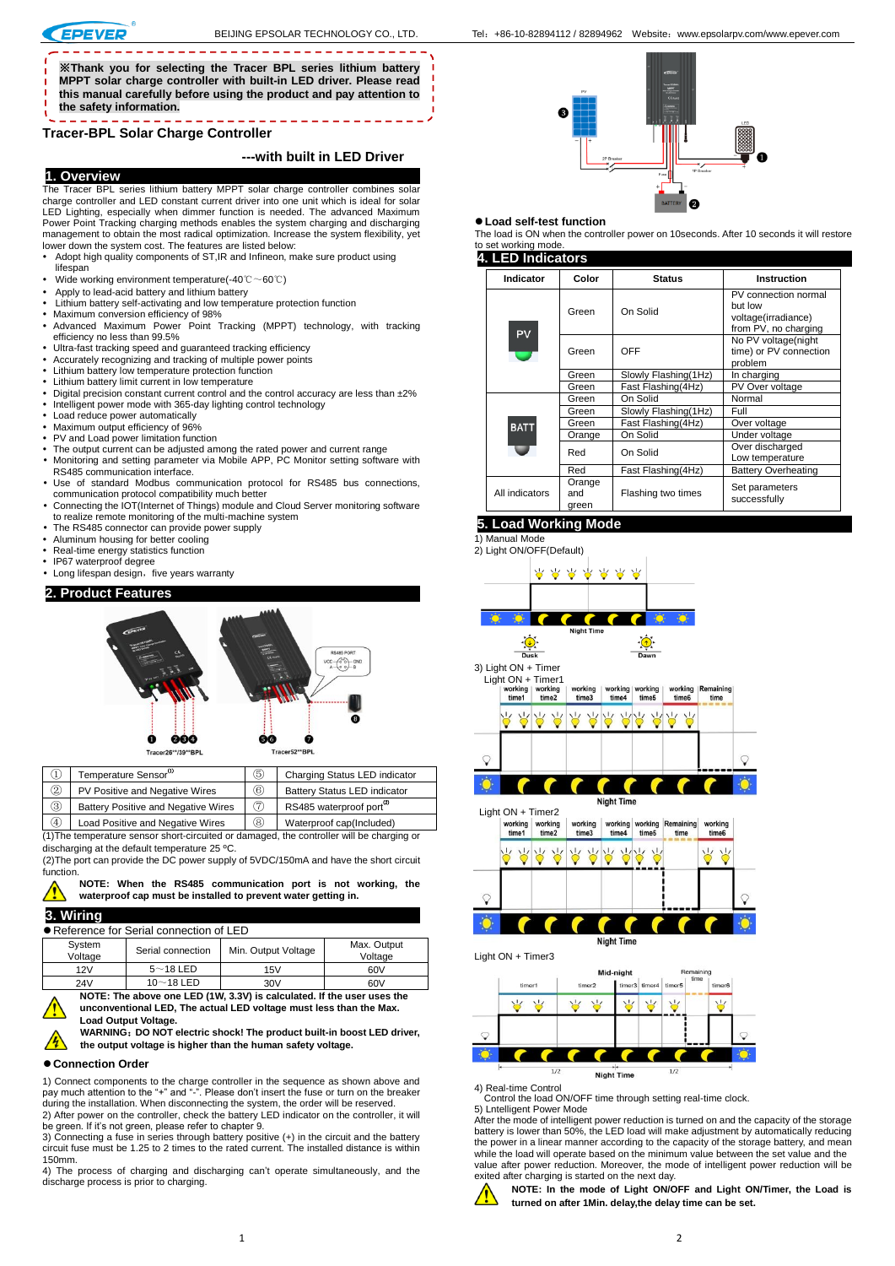※**Thank you for selecting the Tracer BPL series lithium battery MPPT solar charge controller with built-in LED driver. Please read this manual carefully before using the product and pay attention to the safety information.**

# **Tracer-BPL Solar Charge Controller**

### **---with built in LED Driver**

### **1. Overview**

The Tracer BPL series lithium battery MPPT solar charge controller combines solar charge controller and LED constant current driver into one unit which is ideal for solar

- LED Lighting, especially when dimmer function is needed. The advanced Maximum Power Point Tracking charging methods enables the system charging and discharging management to obtain the most radical optimization. Increase the system flexibility, yet lower down the system cost. The features are listed below:
- Adopt high quality components of ST,IR and Infineon, make sure product using lifespan
- Wide working environment temperature(-40℃~60℃)
- Apply to lead-acid battery and lithium battery
- Lithium battery self-activating and low temperature protection function
- Maximum conversion efficiency of 98%<br>• Advanced Maximum Power Point Tracking (MPPT) technology, with tracking efficiency no less than 99.5%
- 
- Ultra-fast tracking speed and guaranteed tracking efficiency Accurately recognizing and tracking of multiple power points
- Lithium battery low temperature protection function
- 
- Lithium battery limit current in low temperature<br>• Digital precision constant current control and the control accuracy are less than ±2% Intelligent power mode with 365-day lighting control technology
- 
- Load reduce power automatically Maximum output efficiency of 96%
- PV and Load power limitation function
- The output current can be adjusted among the rated power and current range Monitoring and setting parameter via Mobile APP, PC Monitor setting software with
- RS485 communication interface. Use of standard Modbus communication protocol for RS485 bus connections,
- communication protocol compatibility much better Connecting the IOT(Internet of Things) module and Cloud Server monitoring software
- to realize remote monitoring of the multi-machine system The RS485 connector can provide power supply
- Aluminum housing for better cooling
- 
- Real-time energy statistics function IP67 waterproof degree
- Long lifespan design, five years warranty

### **2. Product Features**



|     | Temperature Sensor <sup>00</sup>                                                                                                                                                                                                        | 5 | Charging Status LED indicator       |  |
|-----|-----------------------------------------------------------------------------------------------------------------------------------------------------------------------------------------------------------------------------------------|---|-------------------------------------|--|
| (2) | PV Positive and Negative Wires                                                                                                                                                                                                          |   | <b>Battery Status LED indicator</b> |  |
| 3   | Battery Positive and Negative Wires                                                                                                                                                                                                     | 7 | RS485 waterproof port <sup>29</sup> |  |
|     | $\mathbf{r} = \mathbf{r}$ . The contract of the state of the state of the state of the state of the state of the state of the state of the state of the state of the state of the state of the state of the state of the state of the s |   |                                     |  |

 $\mathcal{A}$  | Load Positive and Negative Wires |  $\mathcal{B}$  | Waterproof cap(Included) (1)The temperature sensor short-circuited or damaged, the controller will be charging or discharging at the default temperature 25 ºC.

(2)The port can provide the DC power supply of 5VDC/150mA and have the short circuit function.

**NOTE: When the RS485 communication port is not working, the waterproof cap must be installed to prevent water getting in.**

## **3. Wiring**

Reference for Serial connection of LED

|     | System<br>Voltage                                                      | Serial connection | Min. Output Voltage | Max. Output<br>Voltage |  |
|-----|------------------------------------------------------------------------|-------------------|---------------------|------------------------|--|
| 12V |                                                                        | $5$ $\sim$ 18 LED | 15V                 | 60V                    |  |
| 24V |                                                                        | $10~18$ LED       | 30V                 | 60V                    |  |
|     | NOTE: The above one LED (1W, 3.3V) is calculated. If the user uses the |                   |                     |                        |  |

**unconventional LED, The actual LED voltage must less than the Max. Load Output Voltage.**

**WARNING**:**DO NOT electric shock! The product built-in boost LED driver, the output voltage is higher than the human safety voltage.** 

#### **Connection Order**

1) Connect components to the charge controller in the sequence as shown above and pay much attention to the "+" and "-". Please don't insert the fuse or turn on the breaker during the installation. When disconnecting the system, the order will be reserved. 2) After power on the controller, check the battery LED indicator on the controller, it will

be green. If it's not green, please refer to chapter 9.

3) Connecting a fuse in series through battery positive (+) in the circuit and the battery circuit fuse must be 1.25 to 2 times to the rated current. The installed distance is within 150mm.

4) The process of charging and discharging can't operate simultaneously, and the discharge process is prior to charging.

#### **Load self-test function**

The load is ON when the controller power on 10seconds. After 10 seconds it will restore to set working mode. **4. LED Indicators** 

#### **Indicator Color Status Instruction** PV connection normal but low Green On Solid voltage(irradiance) from PV, no charging PV No PV voltage(night Green OFF time) or PV connection problem<br>In charging Green Slowly Flashing(1Hz) In charging<br>Green Fast Flashing(4Hz) PV Over voltage Fast Flashing(4Hz) Green On Solid Normal<br>Green Slowly Flashing(1Hz) Full Slowly Flashing(1Hz) Full<br>Fast Flashing(4Hz) Over voltage Green Fast Flashing(4Hz)<br>Orange On Solid **BAT** Under voltage Red On Solid Over discharged Low temperature Red Fast Flashing(4Hz) Battery Overheating **Orange** Flashing two times Set parameters All indicators and successfully green

# **5. Load Working Mode**

1) [Manual](app:ds:manual) Mode





4) Real-time Control Control the load ON/OFF time through setting real-time clock. 5) Lntelligent Power Mode

After the mode of intelligent power reduction is turned on and the capacity of the storage battery is lower than 50%, the LED load will make adjustment by automatically reducing the power in a linear manner according to the capacity of the storage battery, and mean while the load will operate based on the minimum value between the set value and the value after power reduction. Moreover, the mode of intelligent power reduction will be exited after charging is started on the next day.



**NOTE: In the mode of Light ON/OFF and Light ON/Timer, the Load is turned on after 1Min. delay,the delay time can be set.**